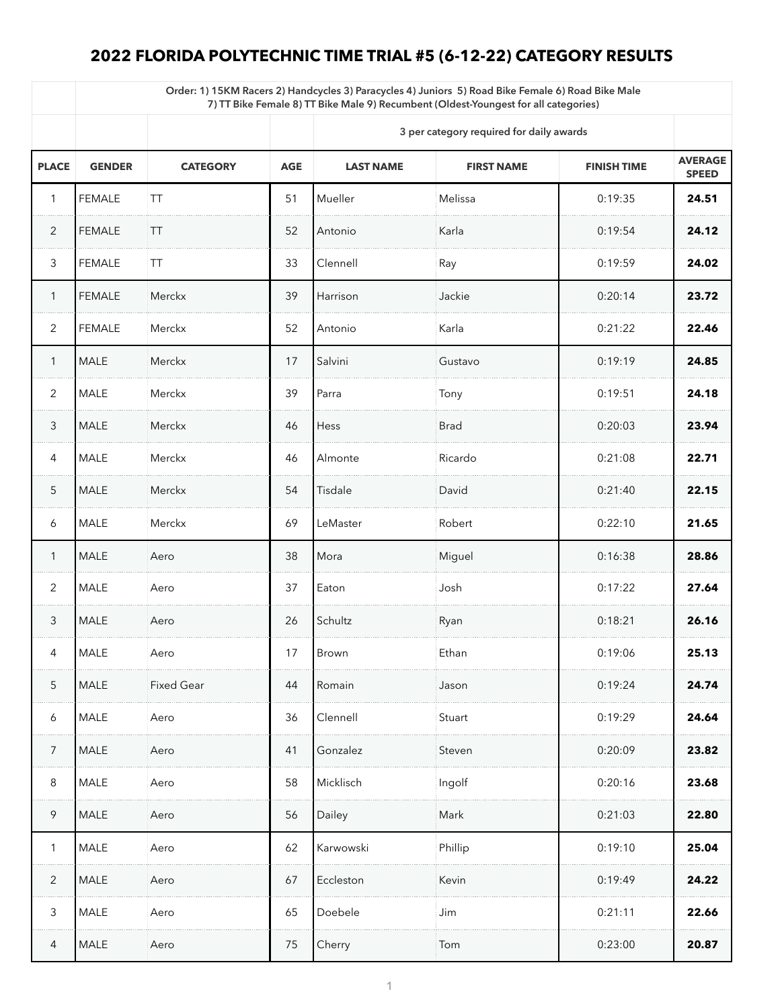## **2022 FLORIDA POLYTECHNIC TIME TRIAL #5 (6-12-22) CATEGORY RESULTS**

|                | Order: 1) 15KM Racers 2) Handcycles 3) Paracycles 4) Juniors 5) Road Bike Female 6) Road Bike Male<br>7) TT Bike Female 8) TT Bike Male 9) Recumbent (Oldest-Youngest for all categories) |                   |            |                                          |                   |                    |                                |  |  |
|----------------|-------------------------------------------------------------------------------------------------------------------------------------------------------------------------------------------|-------------------|------------|------------------------------------------|-------------------|--------------------|--------------------------------|--|--|
|                |                                                                                                                                                                                           |                   |            | 3 per category required for daily awards |                   |                    |                                |  |  |
| <b>PLACE</b>   | <b>GENDER</b>                                                                                                                                                                             | <b>CATEGORY</b>   | <b>AGE</b> | <b>LAST NAME</b>                         | <b>FIRST NAME</b> | <b>FINISH TIME</b> | <b>AVERAGE</b><br><b>SPEED</b> |  |  |
| 1              | <b>FEMALE</b>                                                                                                                                                                             | TT                | 51         | Mueller                                  | Melissa           | 0:19:35            | 24.51                          |  |  |
| $\overline{2}$ | <b>FEMALE</b>                                                                                                                                                                             | TT                | 52         | Antonio                                  | Karla             | 0:19:54            | 24.12                          |  |  |
| 3              | <b>FEMALE</b>                                                                                                                                                                             | TT                | 33         | Clennell                                 | Ray               | 0:19:59            | 24.02                          |  |  |
| $\mathbf{1}$   | <b>FEMALE</b>                                                                                                                                                                             | <b>Merckx</b>     | 39         | Harrison                                 | Jackie            | 0:20:14            | 23.72                          |  |  |
| 2              | <b>FEMALE</b>                                                                                                                                                                             | <b>Merckx</b>     | 52         | Antonio                                  | Karla             | 0:21:22            | 22.46                          |  |  |
| 1              | <b>MALE</b>                                                                                                                                                                               | <b>Merckx</b>     | 17         | Salvini                                  | Gustavo           | 0:19:19            | 24.85                          |  |  |
| $\overline{2}$ | <b>MALE</b>                                                                                                                                                                               | <b>Merckx</b>     | 39         | Parra                                    | Tony              | 0:19:51            | 24.18                          |  |  |
| 3              | <b>MALE</b>                                                                                                                                                                               | Merckx            | 46         | <b>Hess</b>                              | <b>Brad</b>       | 0:20:03            | 23.94                          |  |  |
| $\overline{4}$ | MALE                                                                                                                                                                                      | Merckx            | 46         | Almonte                                  | Ricardo           | 0:21:08            | 22.71                          |  |  |
| 5              | <b>MALE</b>                                                                                                                                                                               | Merckx            | 54         | Tisdale                                  | David             | 0:21:40            | 22.15                          |  |  |
| 6              | <b>MALE</b>                                                                                                                                                                               | Merckx            | 69         | LeMaster                                 | Robert            | 0:22:10            | 21.65                          |  |  |
| 1              | <b>MALE</b>                                                                                                                                                                               | Aero              | 38         | Mora                                     | Miguel            | 0:16:38            | 28.86                          |  |  |
| $\overline{2}$ | <b>MALE</b>                                                                                                                                                                               | Aero              | 37         | Eaton                                    | Josh              | 0:17:22            | 27.64                          |  |  |
| 3              | MALE                                                                                                                                                                                      | Aero              | 26         | Schultz                                  | Ryan              | 0:18:21            | 26.16                          |  |  |
| 4              | MALE                                                                                                                                                                                      | Aero              | 17         | <b>Brown</b>                             | Ethan             | 0:19:06            | 25.13                          |  |  |
| 5              | <b>MALE</b>                                                                                                                                                                               | <b>Fixed Gear</b> | 44         | Romain                                   | Jason             | 0:19:24            | 24.74                          |  |  |
| 6              | <b>MALE</b>                                                                                                                                                                               | Aero              | 36         | Clennell                                 | Stuart            | 0:19:29            | 24.64                          |  |  |
| $\overline{7}$ | <b>MALE</b>                                                                                                                                                                               | Aero              | 41         | Gonzalez                                 | Steven            | 0:20:09            | 23.82                          |  |  |
| 8              | <b>MALE</b>                                                                                                                                                                               | Aero              | 58         | Micklisch                                | Ingolf            | 0:20:16            | 23.68                          |  |  |
| 9              | <b>MALE</b>                                                                                                                                                                               | Aero              | 56         | Dailey                                   | Mark              | 0:21:03            | 22.80                          |  |  |
| 1              | <b>MALE</b>                                                                                                                                                                               | Aero              | 62         | Karwowski                                | Phillip           | 0:19:10            | 25.04                          |  |  |
| $\overline{2}$ | <b>MALE</b>                                                                                                                                                                               | Aero              | 67         | Eccleston                                | Kevin             | 0:19:49            | 24.22                          |  |  |
| $\mathfrak{Z}$ | MALE                                                                                                                                                                                      | Aero              | 65         | Doebele                                  | Jim               | 0:21:11            | 22.66                          |  |  |
| 4              | <b>MALE</b>                                                                                                                                                                               | Aero              | 75         | Cherry                                   | Tom               | 0:23:00            | 20.87                          |  |  |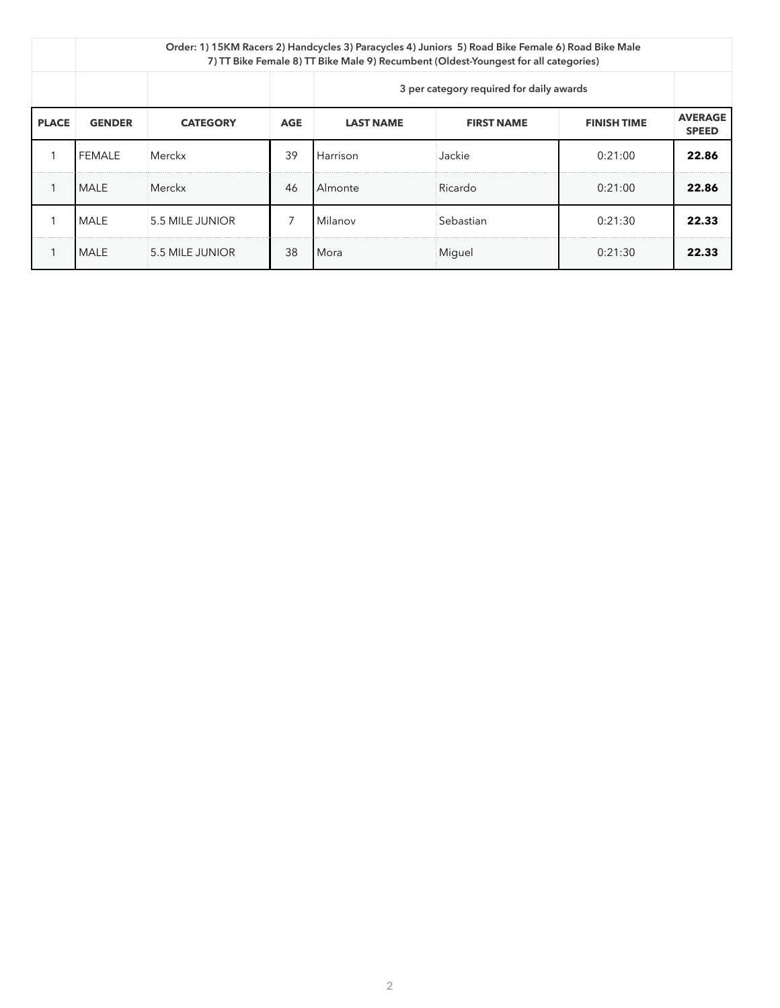| Order: 1) 15KM Racers 2) Handcycles 3) Paracycles 4) Juniors 5) Road Bike Female 6) Road Bike Male<br>7) TT Bike Female 8) TT Bike Male 9) Recumbent (Oldest-Youngest for all categories) |               |                   |            |                                          |                   |                    |                                |  |  |
|-------------------------------------------------------------------------------------------------------------------------------------------------------------------------------------------|---------------|-------------------|------------|------------------------------------------|-------------------|--------------------|--------------------------------|--|--|
|                                                                                                                                                                                           |               |                   |            | 3 per category required for daily awards |                   |                    |                                |  |  |
| <b>PLACE</b>                                                                                                                                                                              | <b>GENDER</b> | <b>CATEGORY</b>   | <b>AGE</b> | <b>LAST NAME</b>                         | <b>FIRST NAME</b> | <b>FINISH TIME</b> | <b>AVERAGE</b><br><b>SPEED</b> |  |  |
|                                                                                                                                                                                           | <b>FEMALE</b> | Merckx            | 39         | Harrison                                 | Jackie            | 0:21:00            | 22.86                          |  |  |
|                                                                                                                                                                                           | <b>MALE</b>   | Merckx            | 46         | Almonte                                  | Ricardo           | 0:21:00            | 22.86                          |  |  |
|                                                                                                                                                                                           | <b>MALE</b>   | $5.5$ MILE JUNIOR | 7          | Milanov                                  | Sebastian         | 0:21:30            | 22.33                          |  |  |
|                                                                                                                                                                                           | <b>MALE</b>   | 5.5 MILE JUNIOR   | 38         | Mora                                     | Miguel            | 0:21:30            | 22.33                          |  |  |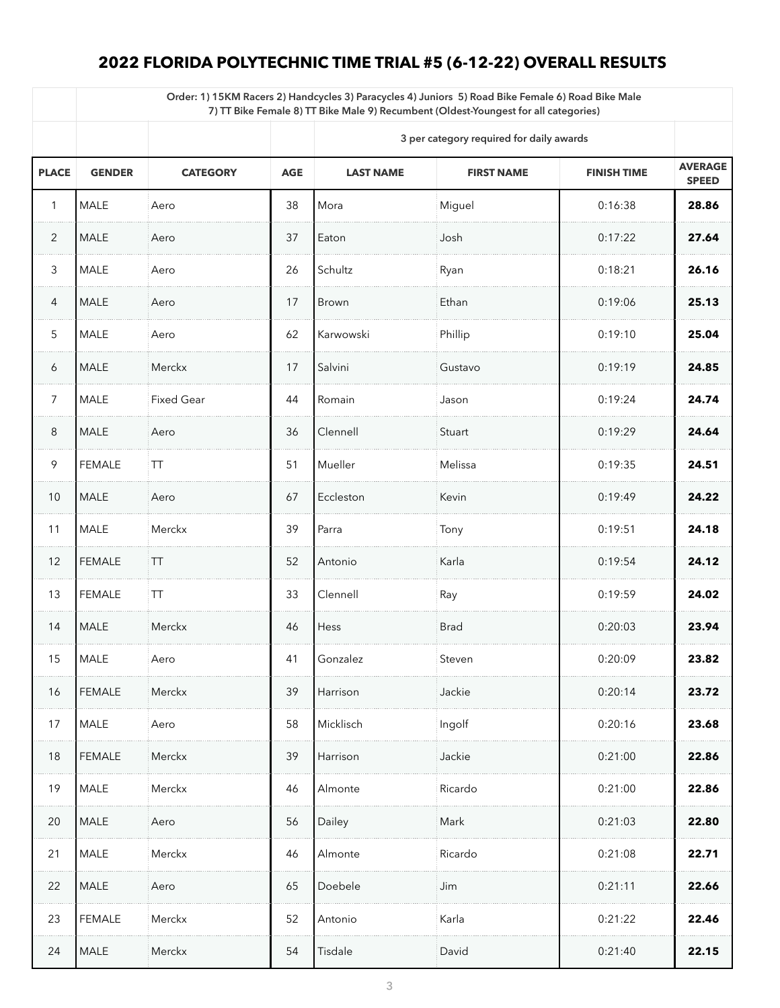## **2022 FLORIDA POLYTECHNIC TIME TRIAL #5 (6-12-22) OVERALL RESULTS**

|                 | Order: 1) 15KM Racers 2) Handcycles 3) Paracycles 4) Juniors 5) Road Bike Female 6) Road Bike Male<br>7) TT Bike Female 8) TT Bike Male 9) Recumbent (Oldest-Youngest for all categories) |                   |            |                                          |                   |                    |                                |  |  |
|-----------------|-------------------------------------------------------------------------------------------------------------------------------------------------------------------------------------------|-------------------|------------|------------------------------------------|-------------------|--------------------|--------------------------------|--|--|
|                 |                                                                                                                                                                                           |                   |            | 3 per category required for daily awards |                   |                    |                                |  |  |
| <b>PLACE</b>    | <b>GENDER</b>                                                                                                                                                                             | <b>CATEGORY</b>   | <b>AGE</b> | <b>LAST NAME</b>                         | <b>FIRST NAME</b> | <b>FINISH TIME</b> | <b>AVERAGE</b><br><b>SPEED</b> |  |  |
| $\mathbf{1}$    | <b>MALE</b>                                                                                                                                                                               | Aero              | 38         | Mora                                     | Miguel            | 0:16:38            | 28.86                          |  |  |
| $\overline{2}$  | <b>MALE</b>                                                                                                                                                                               | Aero              | 37         | Eaton                                    | Josh              | 0:17:22            | 27.64                          |  |  |
| 3               | <b>MALE</b>                                                                                                                                                                               | Aero              | 26         | Schultz                                  | Ryan              | 0:18:21            | 26.16                          |  |  |
| $\overline{4}$  | <b>MALE</b>                                                                                                                                                                               | Aero              | 17         | <b>Brown</b>                             | Ethan             | 0:19:06            | 25.13                          |  |  |
| 5               | <b>MALE</b>                                                                                                                                                                               | Aero              | 62         | Karwowski                                | Phillip           | 0:19:10            | 25.04                          |  |  |
| 6               | <b>MALE</b>                                                                                                                                                                               | <b>Merckx</b>     | 17         | Salvini                                  | Gustavo           | 0:19:19            | 24.85                          |  |  |
| $\overline{7}$  | <b>MALE</b>                                                                                                                                                                               | <b>Fixed Gear</b> | 44         | Romain                                   | Jason             | 0:19:24            | 24.74                          |  |  |
| 8               | <b>MALE</b>                                                                                                                                                                               | Aero              | 36         | <b>Clennell</b>                          | Stuart            | 0:19:29            | 24.64                          |  |  |
| 9               | <b>I FEMALE</b>                                                                                                                                                                           | $\top$            | 51         | Mueller                                  | Melissa           | 0:19:35            | 24.51                          |  |  |
| 10 <sup>°</sup> | MALE                                                                                                                                                                                      | Aero              | 67         | Eccleston                                | Kevin             | 0:19:49            | 24.22                          |  |  |
| 11              | <b>MALE</b>                                                                                                                                                                               | Merckx            | 39         | Parra                                    | Tony              | 0:19:51            | 24.18                          |  |  |
| 12              | <b>FEMALE</b>                                                                                                                                                                             | <b>TT</b>         | 52         | Antonio                                  | Karla             | 0:19:54            | 24.12                          |  |  |
| 13              | <b>FEMALE</b>                                                                                                                                                                             | $\top$            | 33         | Clennell                                 | Ray               | 0:19:59            | 24.02                          |  |  |
| 14              | <b>MALE</b>                                                                                                                                                                               | Merckx            | 46         | <b>Hess</b>                              | <b>Brad</b>       | 0:20:03            | 23.94                          |  |  |
| 15              | <b>MALE</b>                                                                                                                                                                               | Aero              | 41         | Gonzalez                                 | Steven            | 0:20:09            | 23.82                          |  |  |
| 16              | <b>FEMALE</b>                                                                                                                                                                             | Merckx            | 39         | Harrison                                 | Jackie            | 0:20:14            | 23.72                          |  |  |
| 17              | <b>MALE</b>                                                                                                                                                                               | Aero              | 58         | Micklisch                                | Ingolf            | 0:20:16            | 23.68                          |  |  |
| 18              | <b>FEMALE</b>                                                                                                                                                                             | Merckx            | 39         | Harrison                                 | Jackie            | 0:21:00            | 22.86                          |  |  |
| 19              | <b>MALE</b>                                                                                                                                                                               | Merckx            | 46         | Almonte                                  | Ricardo           | 0:21:00            | 22.86                          |  |  |
| 20              | <b>MALE</b>                                                                                                                                                                               | Aero              | 56         | Dailey                                   | Mark              | 0:21:03            | 22.80                          |  |  |
| 21              | <b>MALE</b>                                                                                                                                                                               | Merckx            | 46         | Almonte                                  | Ricardo           | 0:21:08            | 22.71                          |  |  |
| 22              | <b>MALE</b>                                                                                                                                                                               | Aero              | 65         | Doebele                                  | Jim               | 0:21:11            | 22.66                          |  |  |
| 23              | <b>FEMALE</b>                                                                                                                                                                             | Merckx            | 52         | Antonio                                  | Karla             | 0:21:22            | 22.46                          |  |  |
| 24              | <b>MALE</b>                                                                                                                                                                               | Merckx            | 54         | Tisdale                                  | David             | 0:21:40            | 22.15                          |  |  |